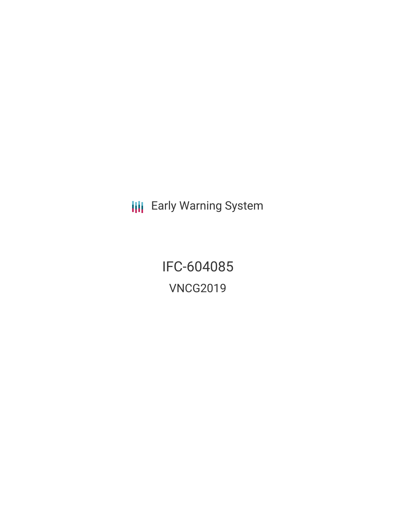**III** Early Warning System

IFC-604085 VNCG2019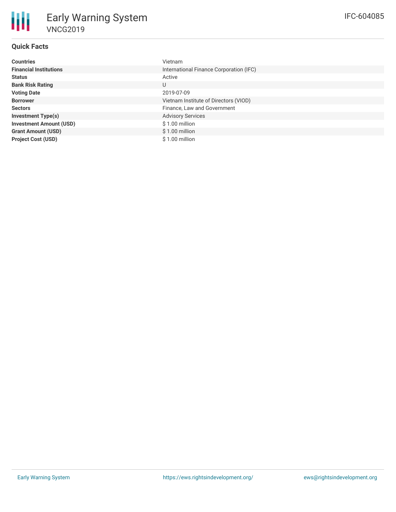## **Quick Facts**

朋

| <b>Countries</b>               | Vietnam                                 |
|--------------------------------|-----------------------------------------|
| <b>Financial Institutions</b>  | International Finance Corporation (IFC) |
| <b>Status</b>                  | Active                                  |
| <b>Bank Risk Rating</b>        | U                                       |
| <b>Voting Date</b>             | 2019-07-09                              |
| <b>Borrower</b>                | Vietnam Institute of Directors (VIOD)   |
| <b>Sectors</b>                 | Finance, Law and Government             |
| <b>Investment Type(s)</b>      | <b>Advisory Services</b>                |
| <b>Investment Amount (USD)</b> | $$1.00$ million                         |
| <b>Grant Amount (USD)</b>      | $$1.00$ million                         |
| <b>Project Cost (USD)</b>      | \$1.00 million                          |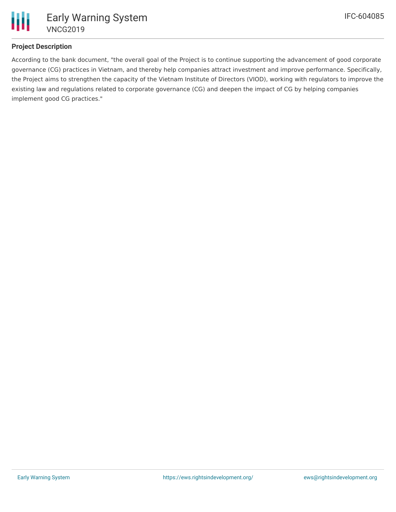

## **Project Description**

According to the bank document, "the overall goal of the Project is to continue supporting the advancement of good corporate governance (CG) practices in Vietnam, and thereby help companies attract investment and improve performance. Specifically, the Project aims to strengthen the capacity of the Vietnam Institute of Directors (VIOD), working with regulators to improve the existing law and regulations related to corporate governance (CG) and deepen the impact of CG by helping companies implement good CG practices."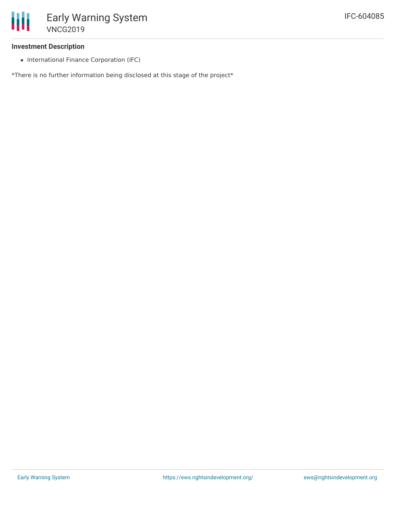## **Investment Description**

• International Finance Corporation (IFC)

\*There is no further information being disclosed at this stage of the project\*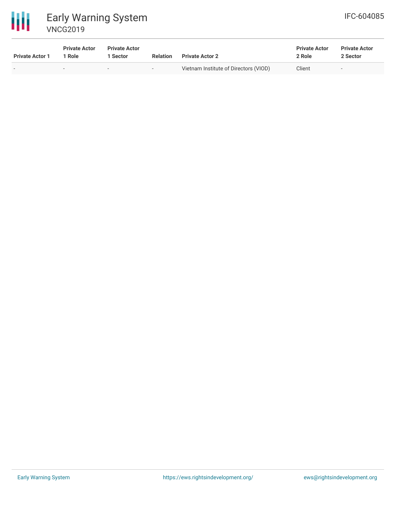



| <b>Private Actor 1</b> | <b>Private Actor</b><br>' Role | <b>Private Actor</b><br>l Sector | <b>Relation</b> | <b>Private Actor 2</b>                | <b>Private Actor</b><br>2 Role | <b>Private Actor</b><br>2 Sector |
|------------------------|--------------------------------|----------------------------------|-----------------|---------------------------------------|--------------------------------|----------------------------------|
|                        | $\overline{\phantom{a}}$       | $\overline{\phantom{a}}$         | $\sim$          | Vietnam Institute of Directors (VIOD) | Client                         | $\overline{\phantom{a}}$         |